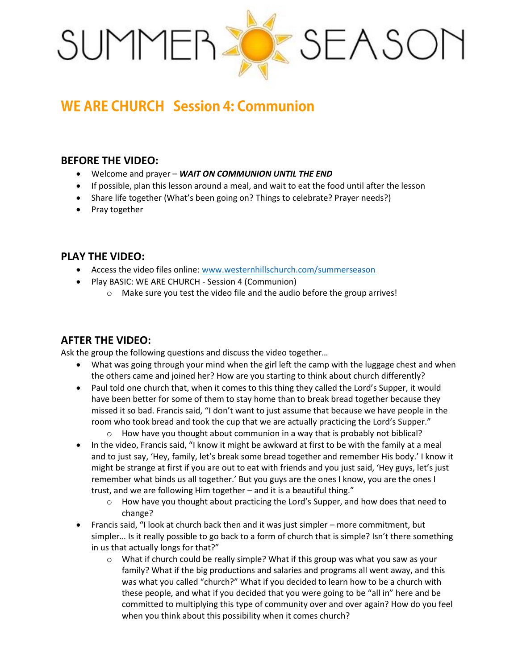

# **WE ARE CHURCH Session 4: Communion**

#### **BEFORE THE VIDEO:**

- Welcome and prayer *WAIT ON COMMUNION UNTIL THE END*
- If possible, plan this lesson around a meal, and wait to eat the food until after the lesson
- Share life together (What's been going on? Things to celebrate? Prayer needs?)
- Pray together

# **PLAY THE VIDEO:**

- Access the video files online[: www.westernhillschurch.com/summerseason](http://www.westernhillschurch.com/summerseason)
- Play BASIC: WE ARE CHURCH Session 4 (Communion)
	- o Make sure you test the video file and the audio before the group arrives!

# **AFTER THE VIDEO:**

Ask the group the following questions and discuss the video together…

- What was going through your mind when the girl left the camp with the luggage chest and when the others came and joined her? How are you starting to think about church differently?
- Paul told one church that, when it comes to this thing they called the Lord's Supper, it would have been better for some of them to stay home than to break bread together because they missed it so bad. Francis said, "I don't want to just assume that because we have people in the room who took bread and took the cup that we are actually practicing the Lord's Supper."
	- o How have you thought about communion in a way that is probably not biblical?
- In the video, Francis said, "I know it might be awkward at first to be with the family at a meal and to just say, 'Hey, family, let's break some bread together and remember His body.' I know it might be strange at first if you are out to eat with friends and you just said, 'Hey guys, let's just remember what binds us all together.' But you guys are the ones I know, you are the ones I trust, and we are following Him together – and it is a beautiful thing."
	- $\circ$  How have you thought about practicing the Lord's Supper, and how does that need to change?
- Francis said, "I look at church back then and it was just simpler more commitment, but simpler… Is it really possible to go back to a form of church that is simple? Isn't there something in us that actually longs for that?"
	- $\circ$  What if church could be really simple? What if this group was what you saw as your family? What if the big productions and salaries and programs all went away, and this was what you called "church?" What if you decided to learn how to be a church with these people, and what if you decided that you were going to be "all in" here and be committed to multiplying this type of community over and over again? How do you feel when you think about this possibility when it comes church?